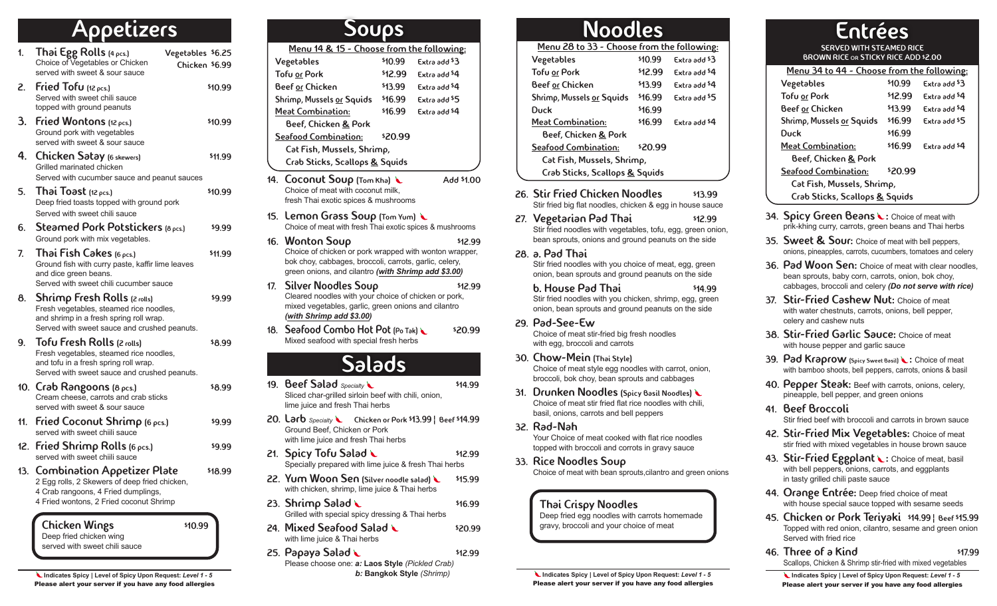## **Appetizers**

- 1. Thai Egg Rolls  $(4 \text{ pcs})$  Vegetables  $$6.25$ Choice of Vegetables or Chicken served with sweet & sour sauce 2. Fried Tofu  $(12 \text{ }\rho \text{cs})$   $$10.99$ Served with sweet chili sauce topped with ground peanuts 3. Fried Wontons  $(12 \text{ pcs.})$   $$10.99$ Ground pork with vegetables served with sweet & sour sauce **4.** Chicken Satay (6 skewers) **\$11.99** Grilled marinated chicken Served with cucumber sauce and peanut sauces Chicken \$6.99
- 5. Thai Toast (12 pcs.) \$10.99 Deep fried toasts topped with ground pork Served with sweet chili sauce
- 6. Steamed Pork Potstickers  $(8 \text{ pcs.})$   $$9.99$ Ground pork with mix vegetables.
- 7. Thai Fish Cakes  $(6 \text{ ocs.})$   $$11.99$ Ground fish with curry paste, kaffir lime leaves and dice green beans. Served with sweet chili cucumber sauce
- 8. Shrimp Fresh Rolls (2 rolls) \$9.99 Fresh vegetables, steamed rice noodles, and shrimp in a fresh spring roll wrap. Served with sweet sauce and crushed peanuts.
- 9. Tofu Fresh Rolls (2 rolls) \$8.99 Fresh vegetables, steamed rice noodles, and tofu in a fresh spring roll wrap. Served with sweet sauce and crushed peanuts.
- 10.  $\mathsf{Crob}$  Rangoons (8 pcs.)  $$8.99$ Cream cheese, carrots and crab sticks served with sweet & sour sauce
- 11. Fried Coconut Shrimp  $(6 \text{ pcs.})$   $$9.99$ served with sweet chiili sauce
- 12. Fried Shrimp Rolls  $(6 \text{ pcs.})$   $$9.99$ served with sweet chilli sauce
- 13. Combination Appetizer Plate \$18.99 2 Egg rolls, 2 Skewers of deep fried chicken, 4 Crab rangoons, 4 Fried dumplings, 4 Fried wontons, 2 Fried coconut Shrimp

Chicken Wings \$10.99 Deep fried chicken wing served with sweet chili sauce

 **Indicates Spicy | Level of Spicy Upon Request:** *Level 1 - 5* Please alert your server if you have any food allergies

| <b>SOUDS</b>                              |         |                          |  |
|-------------------------------------------|---------|--------------------------|--|
| Menu 14 & 15 - Choose from the following: |         |                          |  |
| Vegetables                                | \$10.99 | Extra add \$3            |  |
| <b>Tofu or Pork</b>                       | \$12.99 | Extra add <sup>\$4</sup> |  |
| Beef or Chicken                           | \$13.99 | Extra add \$4            |  |
| Shrimp, Mussels or Squids                 | \$16.99 | Extra add \$5            |  |
| <b>Meat Combination:</b>                  | \$16.99 | Extra add \$4            |  |
| Beef, Chicken & Pork                      |         |                          |  |
| Seafood Combination:                      | \$20.99 |                          |  |
| Cat Fish, Mussels, Shrimp,                |         |                          |  |
| Crab Sticks, Scallops & Squids            |         |                          |  |

- 14. Coconut Soup (Tom Kha) Add \$1.00 Choice of meat with coconut milk, fresh Thai exotic spices & mushrooms
- 15. Lemon Grass Soup (Tom Yum) Choice of meat with fresh Thai exotic spices & mushrooms
- 16. Wonton Soup \$12.99 Choice of chicken or pork wrapped with wonton wrapper, bok choy, cabbages, broccoli, carrots, garlic, celery, green onions, and cilantro *(with Shrimp add \$3.00)*
- 17. Silver Noodles Soup \$12.99 Cleared noodles with your choice of chicken or pork, mixed vegetables, garlic, green onions and cilantro *(with Shrimp add \$3.00)*
- 18. Seafood Combo Hot Pot (Po Tak) \$20.99 Mixed seafood with special fresh herbs

## Salads

- 19. Beef Salad *Specialty* **\$14.99** Sliced char-grilled sirloin beef with chili, onion, lime juice and fresh Thai herbs
- 20. Larb *Specialty* Chicken or Pork \$13.99 | Beef \$14.99 Ground Beef, Chicken or Pork with lime juice and fresh Thai herbs
- 21. Spicy Tofu Salad  $\sim$  \$12.99 Specially prepared with lime juice & fresh Thai herbs
- 22. Yum Woon Sen (Silver noodle salad) \ \$15.99 with chicken, shrimp, lime juice & Thai herbs
- 23. Shrimp Salad \$16.99 Grilled with special spicy dressing & Thai herbs
- 24. Mixed Seafood Salad  $\sim$  \$20.99 with lime juice & Thai herbs
- $25.$  Papaya Salad  $\sim$  \$12.99 Please choose one: *a:* **Laos Style** *(Pickled Crab) b:* **Bangkok Style** *(Shrimp)*

| Noodles                                    |         |               |  |
|--------------------------------------------|---------|---------------|--|
| Menu 28 to 33 - Choose from the following: |         |               |  |
| Vegetables                                 | \$10.99 | Extra add \$3 |  |
| <b>Tofu or Pork</b>                        | \$12.99 | Extra add \$4 |  |
| Beef or Chicken                            | \$13.99 | Extra add \$4 |  |
| Shrimp, Mussels or Squids                  | \$16.99 | Extra add \$5 |  |
| Duck                                       | \$16.99 |               |  |
| <b>Meat Combination:</b>                   | \$16.99 | Extra add \$4 |  |
| Beef, Chicken & Pork                       |         |               |  |
| Seafood Combination:                       | \$20.99 |               |  |
| Cat Fish, Mussels, Shrimp,                 |         |               |  |
| Crab Sticks, Scallops & Squids             |         |               |  |

- 26. Stir Fried Chicken Noodles \$13.99 Stir fried big flat noodles, chicken & egg in house sauce
- 27. Vegetarian Pad Thai \$12.99 Stir fried noodles with vegetables, tofu, egg, green onion, bean sprouts, onions and ground peanuts on the side
- 28. a. Pad Thai Stir fried noodles with you choice of meat, egg, green onion, bean sprouts and ground peanuts on the side
	- b. House Pad Thai  $\frac{1}{4}$  \$14.99 Stir fried noodles with you chicken, shrimp, egg, green onion, bean sprouts and ground peanuts on the side
- 29. Pad-See-Ew Choice of meat stir-fried big fresh noodles with egg, broccoli and carrots
- 30. Chow-Mein (Thai Style) Choice of meat style egg noodles with carrot, onion, broccoli, bok choy, bean sprouts and cabbages
- 31. Drunken Noodles (Spicy Basil Noodles) Choice of meat stir fried flat rice noodles with chili, basil, onions, carrots and bell peppers
- 32. Rad-Nah Your Choice of meat cooked with flat rice noodles topped with broccoli and corrots in gravy sauce
- 33. Rice Noodles Soup Choice of meat with bean sprouts,cilantro and green onions

#### Thai Crispy Noodles

Deep fried egg noodles with carrots homemade gravy, broccoli and your choice of meat

 **Indicates Spicy | Level of Spicy Upon Request:** *Level 1 - 5* Please alert your server if you have any food allergies

### Entrées SERVED WITH STEAMED RICE

BROWN RICE or STICKY RICE ADD \$2.00

| Menu 34 to 44 - Choose from the following: |         |               |
|--------------------------------------------|---------|---------------|
| Vegetables                                 | \$10.99 | Extra add \$3 |
| <b>Tofu or Pork</b>                        | \$12.99 | Extra add \$4 |
| Beef or Chicken                            | \$13.99 | Extra add \$4 |
| Shrimp, Mussels or Squids                  | \$16.99 | Extra add \$5 |
| Duck                                       | \$16.99 |               |
| <b>Meat Combination:</b>                   | \$16.99 | Extra add \$4 |
| Beef, Chicken & Pork                       |         |               |
| Seafood Combination:                       | \$20.99 |               |
| Cat Fish, Mussels, Shrimp,                 |         |               |
| Crab Sticks, Scallops & Squids             |         |               |

- 34. Spicy Green Beans : Choice of meat with prik-khing curry, carrots, green beans and Thai herbs
- 35. Sweet & Sour: Choice of meat with bell peppers, onions, pineapples, carrots, cucumbers, tomatoes and celery
- 36. Pad Woon Sen: Choice of meat with clear noodles. bean sprouts, baby corn, carrots, onion, bok choy, cabbages, broccoli and celery *(Do not serve with rice)*
- 37. Stir-Fried Cashew Nut: Choice of meat with water chestnuts, carrots, onions, bell pepper, celery and cashew nuts
- 38. Stir-Fried Garlic Sauce: Choice of meat with house pepper and garlic sauce
- 39. Pad Kraprow (Spicy Sweet Basil) : Choice of meat with bamboo shoots, bell peppers, carrots, onions & basil
- 40. Pepper Steak: Beef with carrots, onions, celery, pineapple, bell pepper, and green onions
- 41. Beef Broccoli Stir fried beef with broccoli and carrots in brown sauce
- 42. Stir-Fried Mix Vegetables: Choice of meat stir fried with mixed vegetables in house brown sauce
- 43. Stir-Fried Eggplant : Choice of meat, basil with bell peppers, onions, carrots, and eggplants in tasty grilled chili paste sauce
- 44. Orange Entrée: Deep fried choice of meat with house special sauce topped with sesame seeds
- 45. Chicken or Pork Teriyaki \$14.99 ¦ Beef \$15.99 Topped with red onion, cilantro, sesame and green onion Served with fried rice
- **46. Three of a Kind \$17.99** Scallops, Chicken & Shrimp stir-fried with mixed vegetables

 **Indicates Spicy | Level of Spicy Upon Request:** *Level 1 - 5* Please alert your server if you have any food allergies